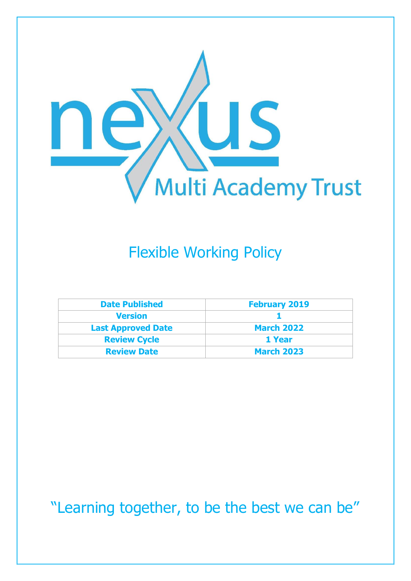

# Flexible Working Policy

| <b>Date Published</b>     | <b>February 2019</b> |  |
|---------------------------|----------------------|--|
| <b>Version</b>            |                      |  |
| <b>Last Approved Date</b> | <b>March 2022</b>    |  |
| <b>Review Cycle</b>       | 1 Year               |  |
| <b>Review Date</b>        | <b>March 2023</b>    |  |

"Learning together, to be the best we can be"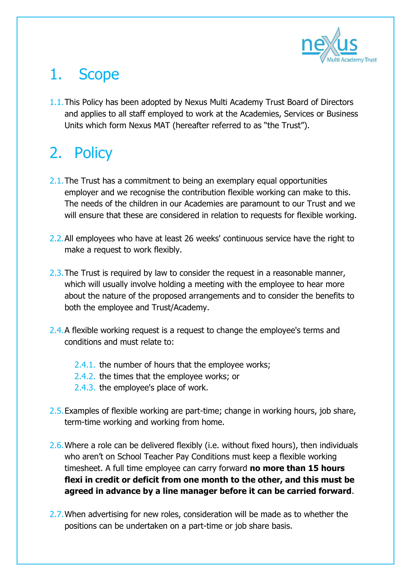

### 1. Scope

1.1.This Policy has been adopted by Nexus Multi Academy Trust Board of Directors and applies to all staff employed to work at the Academies, Services or Business Units which form Nexus MAT (hereafter referred to as "the Trust").

# 2. Policy

- 2.1. The Trust has a commitment to being an exemplary equal opportunities employer and we recognise the contribution flexible working can make to this. The needs of the children in our Academies are paramount to our Trust and we will ensure that these are considered in relation to requests for flexible working.
- 2.2.All employees who have at least 26 weeks' continuous service have the right to make a request to work flexibly.
- 2.3. The Trust is required by law to consider the request in a reasonable manner, which will usually involve holding a meeting with the employee to hear more about the nature of the proposed arrangements and to consider the benefits to both the employee and Trust/Academy.
- 2.4. A flexible working request is a request to change the employee's terms and conditions and must relate to:
	- 2.4.1. the number of hours that the employee works;
	- 2.4.2. the times that the employee works; or
	- 2.4.3. the employee's place of work.
- 2.5.Examples of flexible working are part-time; change in working hours, job share, term-time working and working from home.
- 2.6. Where a role can be delivered flexibly (i.e. without fixed hours), then individuals who aren't on School Teacher Pay Conditions must keep a flexible working timesheet. A full time employee can carry forward **no more than 15 hours flexi in credit or deficit from one month to the other, and this must be agreed in advance by a line manager before it can be carried forward**.
- 2.7. When advertising for new roles, consideration will be made as to whether the positions can be undertaken on a part-time or job share basis.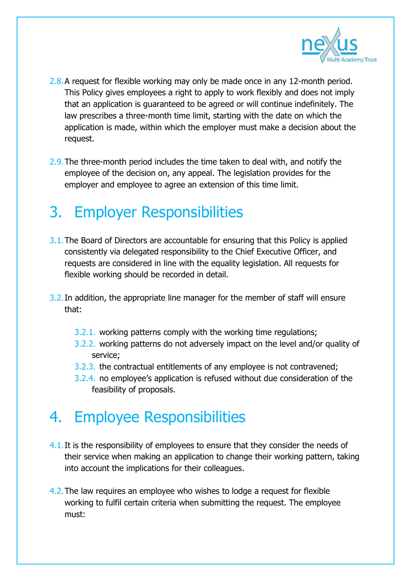

- 2.8.A request for flexible working may only be made once in any 12-month period. This Policy gives employees a right to apply to work flexibly and does not imply that an application is guaranteed to be agreed or will continue indefinitely. The law prescribes a three-month time limit, starting with the date on which the application is made, within which the employer must make a decision about the request.
- 2.9.The three-month period includes the time taken to deal with, and notify the employee of the decision on, any appeal. The legislation provides for the employer and employee to agree an extension of this time limit.

### 3. Employer Responsibilities

- 3.1. The Board of Directors are accountable for ensuring that this Policy is applied consistently via delegated responsibility to the Chief Executive Officer, and requests are considered in line with the equality legislation. All requests for flexible working should be recorded in detail.
- 3.2.In addition, the appropriate line manager for the member of staff will ensure that:
	- 3.2.1. working patterns comply with the working time regulations;
	- 3.2.2. working patterns do not adversely impact on the level and/or quality of service;
	- 3.2.3. the contractual entitlements of any employee is not contravened;
	- 3.2.4. no employee's application is refused without due consideration of the feasibility of proposals.

### 4. Employee Responsibilities

- 4.1. It is the responsibility of employees to ensure that they consider the needs of their service when making an application to change their working pattern, taking into account the implications for their colleagues.
- 4.2.The law requires an employee who wishes to lodge a request for flexible working to fulfil certain criteria when submitting the request. The employee must: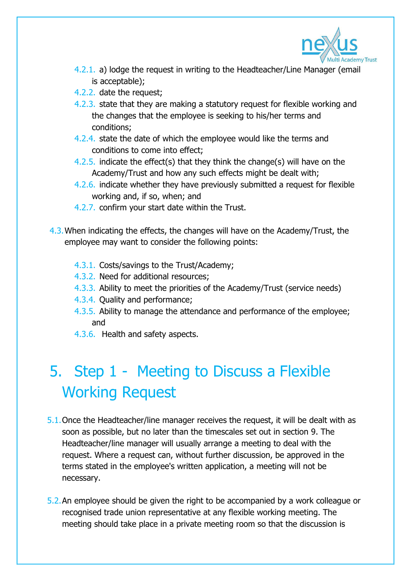

- 4.2.1. a) lodge the request in writing to the Headteacher/Line Manager (email is acceptable);
- 4.2.2. date the request;
- 4.2.3. state that they are making a statutory request for flexible working and the changes that the employee is seeking to his/her terms and conditions;
- 4.2.4. state the date of which the employee would like the terms and conditions to come into effect;
- 4.2.5. indicate the effect(s) that they think the change(s) will have on the Academy/Trust and how any such effects might be dealt with;
- 4.2.6. indicate whether they have previously submitted a request for flexible working and, if so, when; and
- 4.2.7. confirm your start date within the Trust.
- 4.3.When indicating the effects, the changes will have on the Academy/Trust, the employee may want to consider the following points:
	- 4.3.1. Costs/savings to the Trust/Academy;
	- 4.3.2. Need for additional resources;
	- 4.3.3. Ability to meet the priorities of the Academy/Trust (service needs)
	- 4.3.4. Quality and performance;
	- 4.3.5. Ability to manage the attendance and performance of the employee; and
	- 4.3.6. Health and safety aspects.

# 5. Step 1 - Meeting to Discuss a Flexible Working Request

- 5.1.Once the Headteacher/line manager receives the request, it will be dealt with as soon as possible, but no later than the timescales set out in section 9. The Headteacher/line manager will usually arrange a meeting to deal with the request. Where a request can, without further discussion, be approved in the terms stated in the employee's written application, a meeting will not be necessary.
- 5.2.An employee should be given the right to be accompanied by a work colleague or recognised trade union representative at any flexible working meeting. The meeting should take place in a private meeting room so that the discussion is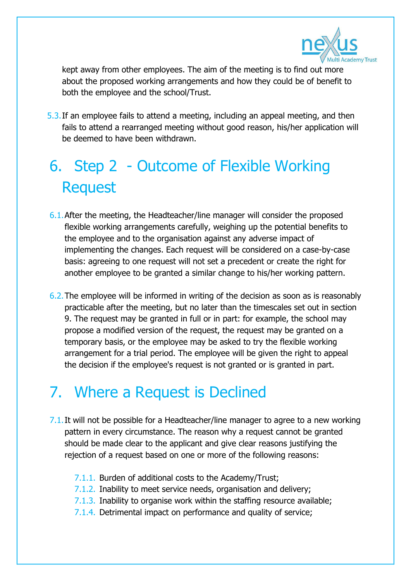

kept away from other employees. The aim of the meeting is to find out more about the proposed working arrangements and how they could be of benefit to both the employee and the school/Trust.

5.3.If an employee fails to attend a meeting, including an appeal meeting, and then fails to attend a rearranged meeting without good reason, his/her application will be deemed to have been withdrawn.

# 6. Step 2 - Outcome of Flexible Working Request

- 6.1.After the meeting, the Headteacher/line manager will consider the proposed flexible working arrangements carefully, weighing up the potential benefits to the employee and to the organisation against any adverse impact of implementing the changes. Each request will be considered on a case-by-case basis: agreeing to one request will not set a precedent or create the right for another employee to be granted a similar change to his/her working pattern.
- 6.2.The employee will be informed in writing of the decision as soon as is reasonably practicable after the meeting, but no later than the timescales set out in section 9. The request may be granted in full or in part: for example, the school may propose a modified version of the request, the request may be granted on a temporary basis, or the employee may be asked to try the flexible working arrangement for a trial period. The employee will be given the right to appeal the decision if the employee's request is not granted or is granted in part.

### 7. Where a Request is Declined

- 7.1. It will not be possible for a Headteacher/line manager to agree to a new working pattern in every circumstance. The reason why a request cannot be granted should be made clear to the applicant and give clear reasons justifying the rejection of a request based on one or more of the following reasons:
	- 7.1.1. Burden of additional costs to the Academy/Trust;
	- 7.1.2. Inability to meet service needs, organisation and delivery;
	- 7.1.3. Inability to organise work within the staffing resource available;
	- 7.1.4. Detrimental impact on performance and quality of service;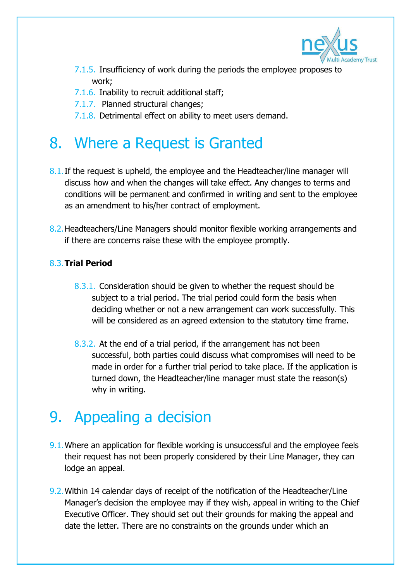

- 7.1.5. Insufficiency of work during the periods the employee proposes to work;
- 7.1.6. Inability to recruit additional staff;
- 7.1.7. Planned structural changes;
- 7.1.8. Detrimental effect on ability to meet users demand.

### 8. Where a Request is Granted

- 8.1. If the request is upheld, the employee and the Headteacher/line manager will discuss how and when the changes will take effect. Any changes to terms and conditions will be permanent and confirmed in writing and sent to the employee as an amendment to his/her contract of employment.
- 8.2.Headteachers/Line Managers should monitor flexible working arrangements and if there are concerns raise these with the employee promptly.

#### 8.3.**Trial Period**

- 8.3.1. Consideration should be given to whether the request should be subject to a trial period. The trial period could form the basis when deciding whether or not a new arrangement can work successfully. This will be considered as an agreed extension to the statutory time frame.
- 8.3.2. At the end of a trial period, if the arrangement has not been successful, both parties could discuss what compromises will need to be made in order for a further trial period to take place. If the application is turned down, the Headteacher/line manager must state the reason(s) why in writing.

## 9. Appealing a decision

- 9.1.Where an application for flexible working is unsuccessful and the employee feels their request has not been properly considered by their Line Manager, they can lodge an appeal.
- 9.2.Within 14 calendar days of receipt of the notification of the Headteacher/Line Manager's decision the employee may if they wish, appeal in writing to the Chief Executive Officer. They should set out their grounds for making the appeal and date the letter. There are no constraints on the grounds under which an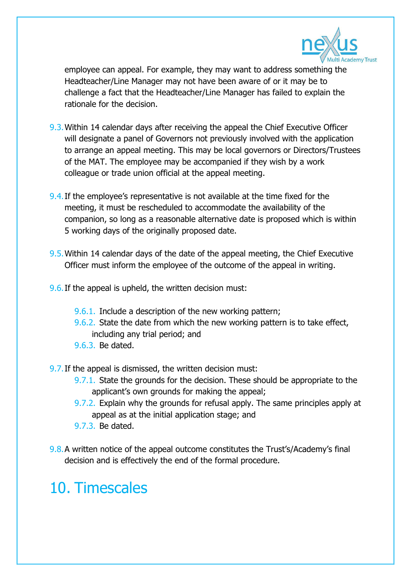

employee can appeal. For example, they may want to address something the Headteacher/Line Manager may not have been aware of or it may be to challenge a fact that the Headteacher/Line Manager has failed to explain the rationale for the decision.

- 9.3.Within 14 calendar days after receiving the appeal the Chief Executive Officer will designate a panel of Governors not previously involved with the application to arrange an appeal meeting. This may be local governors or Directors/Trustees of the MAT. The employee may be accompanied if they wish by a work colleague or trade union official at the appeal meeting.
- 9.4.If the employee's representative is not available at the time fixed for the meeting, it must be rescheduled to accommodate the availability of the companion, so long as a reasonable alternative date is proposed which is within 5 working days of the originally proposed date.
- 9.5.Within 14 calendar days of the date of the appeal meeting, the Chief Executive Officer must inform the employee of the outcome of the appeal in writing.
- 9.6. If the appeal is upheld, the written decision must:
	- 9.6.1. Include a description of the new working pattern;
	- 9.6.2. State the date from which the new working pattern is to take effect, including any trial period; and
	- 9.6.3. Be dated.

9.7.If the appeal is dismissed, the written decision must:

- 9.7.1. State the grounds for the decision. These should be appropriate to the applicant's own grounds for making the appeal;
- 9.7.2. Explain why the grounds for refusal apply. The same principles apply at appeal as at the initial application stage; and
- 9.7.3. Be dated.
- 9.8.A written notice of the appeal outcome constitutes the Trust's/Academy's final decision and is effectively the end of the formal procedure.

## 10. Timescales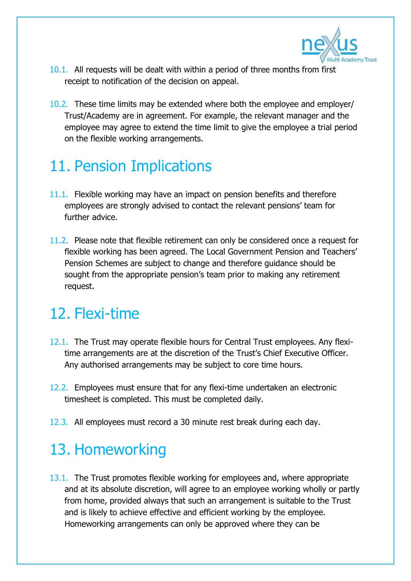

- 10.1. All requests will be dealt with within a period of three months from first receipt to notification of the decision on appeal.
- 10.2. These time limits may be extended where both the employee and employer/ Trust/Academy are in agreement. For example, the relevant manager and the employee may agree to extend the time limit to give the employee a trial period on the flexible working arrangements.

### 11. Pension Implications

- 11.1. Flexible working may have an impact on pension benefits and therefore employees are strongly advised to contact the relevant pensions' team for further advice.
- 11.2. Please note that flexible retirement can only be considered once a request for flexible working has been agreed. The Local Government Pension and Teachers' Pension Schemes are subject to change and therefore guidance should be sought from the appropriate pension's team prior to making any retirement request.

### 12. Flexi-time

- 12.1. The Trust may operate flexible hours for Central Trust employees. Any flexitime arrangements are at the discretion of the Trust's Chief Executive Officer. Any authorised arrangements may be subject to core time hours.
- 12.2. Employees must ensure that for any flexi-time undertaken an electronic timesheet is completed. This must be completed daily.
- 12.3. All employees must record a 30 minute rest break during each day.

### 13. Homeworking

13.1. The Trust promotes flexible working for employees and, where appropriate and at its absolute discretion, will agree to an employee working wholly or partly from home, provided always that such an arrangement is suitable to the Trust and is likely to achieve effective and efficient working by the employee. Homeworking arrangements can only be approved where they can be